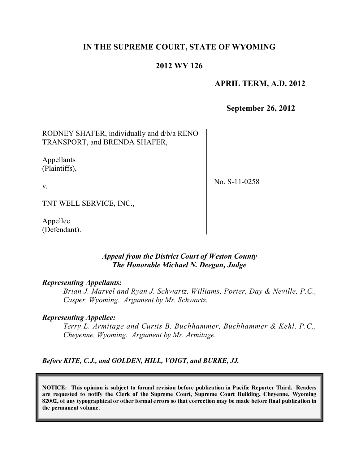## **IN THE SUPREME COURT, STATE OF WYOMING**

## **2012 WY 126**

### **APRIL TERM, A.D. 2012**

**September 26, 2012**

RODNEY SHAFER, individually and d/b/a RENO TRANSPORT, and BRENDA SHAFER,

Appellants (Plaintiffs),

v.

No. S-11-0258

TNT WELL SERVICE, INC.,

Appellee (Defendant).

### *Appeal from the District Court of Weston County The Honorable Michael N. Deegan, Judge*

#### *Representing Appellants:*

*Brian J. Marvel and Ryan J. Schwartz, Williams, Porter, Day & Neville, P.C., Casper, Wyoming. Argument by Mr. Schwartz.*

#### *Representing Appellee:*

*Terry L. Armitage and Curtis B. Buchhammer, Buchhammer & Kehl, P.C., Cheyenne, Wyoming. Argument by Mr. Armitage.*

*Before KITE, C.J., and GOLDEN, HILL, VOIGT, and BURKE, JJ.*

**NOTICE: This opinion is subject to formal revision before publication in Pacific Reporter Third. Readers are requested to notify the Clerk of the Supreme Court, Supreme Court Building, Cheyenne, Wyoming** 82002, of any typographical or other formal errors so that correction may be made before final publication in **the permanent volume.**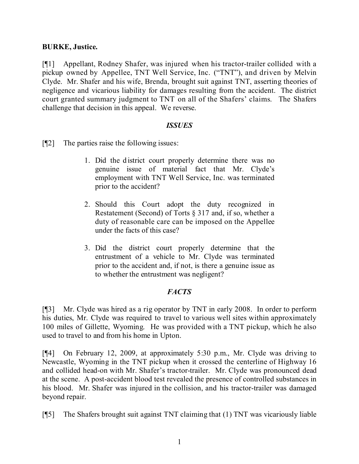### **BURKE, Justice.**

[¶1] Appellant, Rodney Shafer, was injured when his tractor-trailer collided with a pickup owned by Appellee, TNT Well Service, Inc. ("TNT"), and driven by Melvin Clyde. Mr. Shafer and his wife, Brenda, brought suit against TNT, asserting theories of negligence and vicarious liability for damages resulting from the accident. The district court granted summary judgment to TNT on all of the Shafers' claims. The Shafers challenge that decision in this appeal. We reverse.

### *ISSUES*

[¶2] The parties raise the following issues:

- 1. Did the district court properly determine there was no genuine issue of material fact that Mr. Clyde's employment with TNT Well Service, Inc. was terminated prior to the accident?
- 2. Should this Court adopt the duty recognized in Restatement (Second) of Torts § 317 and, if so, whether a duty of reasonable care can be imposed on the Appellee under the facts of this case?
- 3. Did the district court properly determine that the entrustment of a vehicle to Mr. Clyde was terminated prior to the accident and, if not, is there a genuine issue as to whether the entrustment was negligent?

### *FACTS*

[¶3] Mr. Clyde was hired as a rig operator by TNT in early 2008. In order to perform his duties, Mr. Clyde was required to travel to various well sites within approximately 100 miles of Gillette, Wyoming. He was provided with a TNT pickup, which he also used to travel to and from his home in Upton.

[¶4] On February 12, 2009, at approximately 5:30 p.m., Mr. Clyde was driving to Newcastle, Wyoming in the TNT pickup when it crossed the centerline of Highway 16 and collided head-on with Mr. Shafer's tractor-trailer. Mr. Clyde was pronounced dead at the scene. A post-accident blood test revealed the presence of controlled substances in his blood. Mr. Shafer was injured in the collision, and his tractor-trailer was damaged beyond repair.

[¶5] The Shafers brought suit against TNT claiming that (1) TNT was vicariously liable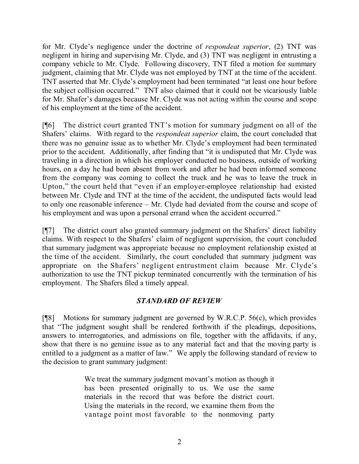for Mr. Clyde's negligence under the doctrine of *respondeat superior*, (2) TNT was negligent in hiring and supervising Mr. Clyde, and (3) TNT was negligent in entrusting a company vehicle to Mr. Clyde. Following discovery, TNT filed a motion for summary judgment, claiming that Mr. Clyde was not employed by TNT at the time of the accident. TNT asserted that Mr. Clyde's employment had been terminated "at least one hour before the subject collision occurred." TNT also claimed that it could not be vicariously liable for Mr. Shafer's damages because Mr. Clyde was not acting within the course and scope of his employment at the time of the accident.

[¶6] The district court granted TNT's motion for summary judgment on all of the Shafers' claims. With regard to the *respondeat superior* claim, the court concluded that there was no genuine issue as to whether Mr. Clyde's employment had been terminated prior to the accident. Additionally, after finding that "it is undisputed that Mr. Clyde was traveling in a direction in which his employer conducted no business, outside of working hours, on a day he had been absent from work and after he had been informed someone from the company was coming to collect the truck and he was to leave the truck in Upton," the court held that "even if an employer-employee relationship had existed between Mr. Clyde and TNT at the time of the accident, the undisputed facts would lead to only one reasonable inference – Mr. Clyde had deviated from the course and scope of his employment and was upon a personal errand when the accident occurred."

[¶7] The district court also granted summary judgment on the Shafers' direct liability claims. With respect to the Shafers' claim of negligent supervision, the court concluded that summary judgment was appropriate because no employment relationship existed at the time of the accident. Similarly, the court concluded that summary judgment was appropriate on the Shafers' negligent entrustment claim because Mr. Clyde's authorization to use the TNT pickup terminated concurrently with the termination of his employment. The Shafers filed a timely appeal.

# *STANDARD OF REVIEW*

[¶8] Motions for summary judgment are governed by W.R.C.P. 56(c), which provides that "The judgment sought shall be rendered forthwith if the pleadings, depositions, answers to interrogatories, and admissions on file, together with the affidavits, if any, show that there is no genuine issue as to any material fact and that the moving party is entitled to a judgment as a matter of law." We apply the following standard of review to the decision to grant summary judgment:

> We treat the summary judgment movant's motion as though it has been presented originally to us. We use the same materials in the record that was before the district court. Using the materials in the record, we examine them from the vantage point most favorable to the nonmoving party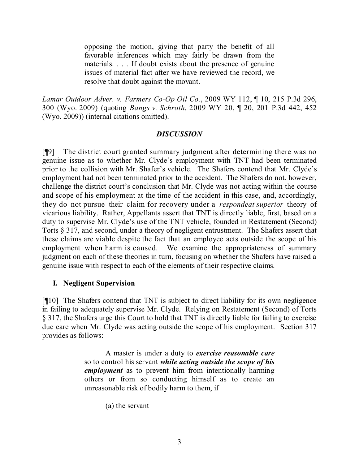opposing the motion, giving that party the benefit of all favorable inferences which may fairly be drawn from the materials. . . . If doubt exists about the presence of genuine issues of material fact after we have reviewed the record, we resolve that doubt against the movant.

*Lamar Outdoor Adver. v. Farmers Co-Op Oil Co.*, 2009 WY 112, ¶ 10, 215 P.3d 296, 300 (Wyo. 2009) (quoting *Bangs v. Schroth*, 2009 WY 20, ¶ 20, 201 P.3d 442, 452 (Wyo. 2009)) (internal citations omitted).

### *DISCUSSION*

[¶9] The district court granted summary judgment after determining there was no genuine issue as to whether Mr. Clyde's employment with TNT had been terminated prior to the collision with Mr. Shafer's vehicle. The Shafers contend that Mr. Clyde's employment had not been terminated prior to the accident. The Shafers do not, however, challenge the district court's conclusion that Mr. Clyde was not acting within the course and scope of his employment at the time of the accident in this case, and, accordingly, they do not pursue their claim for recovery under a *respondeat superior* theory of vicarious liability. Rather, Appellants assert that TNT is directly liable, first, based on a duty to supervise Mr. Clyde's use of the TNT vehicle, founded in Restatement (Second) Torts § 317, and second, under a theory of negligent entrustment. The Shafers assert that these claims are viable despite the fact that an employee acts outside the scope of his employment when harm is caused. We examine the appropriateness of summary judgment on each of these theories in turn, focusing on whether the Shafers have raised a genuine issue with respect to each of the elements of their respective claims.

### **I. Negligent Supervision**

[¶10] The Shafers contend that TNT is subject to direct liability for its own negligence in failing to adequately supervise Mr. Clyde. Relying on Restatement (Second) of Torts § 317, the Shafers urge this Court to hold that TNT is directly liable for failing to exercise due care when Mr. Clyde was acting outside the scope of his employment. Section 317 provides as follows:

> A master is under a duty to *exercise reasonable care* so to control his servant *while acting outside the scope of his employment* as to prevent him from intentionally harming others or from so conducting himself as to create an unreasonable risk of bodily harm to them, if

> > (a) the servant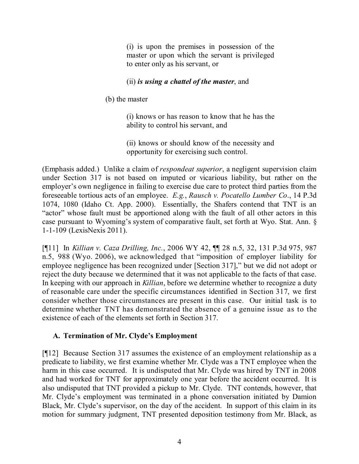(i) is upon the premises in possession of the master or upon which the servant is privileged to enter only as his servant, or

## (ii) *is using a chattel of the master*, and

(b) the master

(i) knows or has reason to know that he has the ability to control his servant, and

(ii) knows or should know of the necessity and opportunity for exercising such control.

(Emphasis added.) Unlike a claim of *respondeat superior*, a negligent supervision claim under Section 317 is not based on imputed or vicarious liability, but rather on the employer's own negligence in failing to exercise due care to protect third parties from the foreseeable tortious acts of an employee. *E.g.*, *Rausch v. Pocatello Lumber Co*., 14 P.3d 1074, 1080 (Idaho Ct. App. 2000). Essentially, the Shafers contend that TNT is an "actor" whose fault must be apportioned along with the fault of all other actors in this case pursuant to Wyoming's system of comparative fault, set forth at Wyo. Stat. Ann. § 1-1-109 (LexisNexis 2011).

[¶11] In *Killian v. Caza Drilling, Inc.*, 2006 WY 42, ¶¶ 28 n.5, 32, 131 P.3d 975, 987 n.5, 988 (Wyo. 2006), we acknowledged that "imposition of employer liability for employee negligence has been recognized under [Section 317]," but we did not adopt or reject the duty because we determined that it was not applicable to the facts of that case. In keeping with our approach in *Killian*, before we determine whether to recognize a duty of reasonable care under the specific circumstances identified in Section 317, we first consider whether those circumstances are present in this case. Our initial task is to determine whether TNT has demonstrated the absence of a genuine issue as to the existence of each of the elements set forth in Section 317.

# **A. Termination of Mr. Clyde's Employment**

[¶12] Because Section 317 assumes the existence of an employment relationship as a predicate to liability, we first examine whether Mr. Clyde was a TNT employee when the harm in this case occurred. It is undisputed that Mr. Clyde was hired by TNT in 2008 and had worked for TNT for approximately one year before the accident occurred. It is also undisputed that TNT provided a pickup to Mr. Clyde. TNT contends, however, that Mr. Clyde's employment was terminated in a phone conversation initiated by Damion Black, Mr. Clyde's supervisor, on the day of the accident. In support of this claim in its motion for summary judgment, TNT presented deposition testimony from Mr. Black, as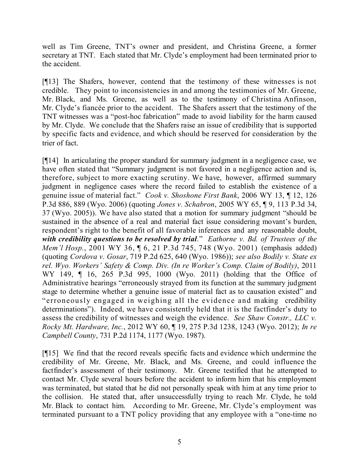well as Tim Greene, TNT's owner and president, and Christina Greene, a former secretary at TNT. Each stated that Mr. Clyde's employment had been terminated prior to the accident.

[¶13] The Shafers, however, contend that the testimony of these witnesses is not credible. They point to inconsistencies in and among the testimonies of Mr. Greene, Mr. Black, and Ms. Greene, as well as to the testimony of Christina Anfinson, Mr. Clyde's fiancée prior to the accident. The Shafers assert that the testimony of the TNT witnesses was a "post-hoc fabrication" made to avoid liability for the harm caused by Mr. Clyde. We conclude that the Shafers raise an issue of credibility that is supported by specific facts and evidence, and which should be reserved for consideration by the trier of fact.

[¶14] In articulating the proper standard for summary judgment in a negligence case, we have often stated that "Summary judgment is not favored in a negligence action and is, therefore, subject to more exacting scrutiny. We have, however, affirmed summary judgment in negligence cases where the record failed to establish the existence of a genuine issue of material fact." *Cook v. Shoshone First Bank*, 2006 WY 13, ¶ 12, 126 P.3d 886, 889 (Wyo. 2006) (quoting *Jones v. Schabron*, 2005 WY 65, ¶ 9, 113 P.3d 34, 37 (Wyo. 2005)). We have also stated that a motion for summary judgment "should be sustained in the absence of a real and material fact issue considering movant's burden, respondent's right to the benefit of all favorable inferences and any reasonable doubt, *with credibility questions to be resolved by trial*." *Eathorne v. Bd. of Trustees of the Mem'l Hosp.*, 2001 WY 36, ¶ 6, 21 P.3d 745, 748 (Wyo. 2001) (emphasis added) (quoting *Cordova v. Gosar*, 719 P.2d 625, 640 (Wyo. 1986)); *see also Bodily v. State ex rel. Wyo. Workers' Safety & Comp. Div. (In re Worker's Comp. Claim of Bodily)*, 2011 WY 149, ¶ 16, 265 P.3d 995, 1000 (Wyo. 2011) (holding that the Office of Administrative hearings "erroneously strayed from its function at the summary judgment stage to determine whether a genuine issue of material fact as to causation existed" and "erroneously engaged in weighing all the evidence and making credibility determinations"). Indeed, we have consistently held that it is the factfinder's duty to assess the credibility of witnesses and weigh the evidence. *See Shaw Constr., LLC v. Rocky Mt. Hardware, Inc.*, 2012 WY 60, ¶ 19, 275 P.3d 1238, 1243 (Wyo. 2012); *In re Campbell County*, 731 P.2d 1174, 1177 (Wyo. 1987).

[¶15] We find that the record reveals specific facts and evidence which undermine the credibility of Mr. Greene, Mr. Black, and Ms. Greene, and could influence the factfinder's assessment of their testimony. Mr. Greene testified that he attempted to contact Mr. Clyde several hours before the accident to inform him that his employment was terminated, but stated that he did not personally speak with him at any time prior to the collision. He stated that, after unsuccessfully trying to reach Mr. Clyde, he told Mr. Black to contact him. According to Mr. Greene, Mr. Clyde's employment was terminated pursuant to a TNT policy providing that any employee with a "one-time no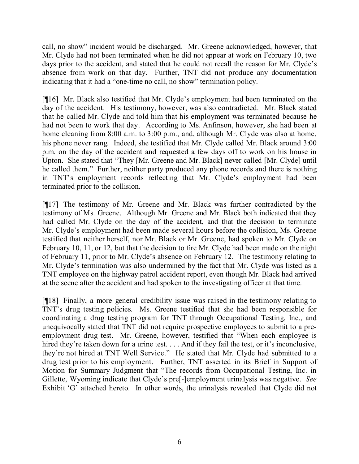call, no show" incident would be discharged. Mr. Greene acknowledged, however, that Mr. Clyde had not been terminated when he did not appear at work on February 10, two days prior to the accident, and stated that he could not recall the reason for Mr. Clyde's absence from work on that day. Further, TNT did not produce any documentation indicating that it had a "one-time no call, no show" termination policy.

[¶16] Mr. Black also testified that Mr. Clyde's employment had been terminated on the day of the accident. His testimony, however, was also contradicted. Mr. Black stated that he called Mr. Clyde and told him that his employment was terminated because he had not been to work that day. According to Ms. Anfinson, however, she had been at home cleaning from 8:00 a.m. to 3:00 p.m., and, although Mr. Clyde was also at home, his phone never rang. Indeed, she testified that Mr. Clyde called Mr. Black around 3:00 p.m. on the day of the accident and requested a few days off to work on his house in Upton. She stated that "They [Mr. Greene and Mr. Black] never called [Mr. Clyde] until he called them." Further, neither party produced any phone records and there is nothing in TNT's employment records reflecting that Mr. Clyde's employment had been terminated prior to the collision.

[¶17] The testimony of Mr. Greene and Mr. Black was further contradicted by the testimony of Ms. Greene. Although Mr. Greene and Mr. Black both indicated that they had called Mr. Clyde on the day of the accident, and that the decision to terminate Mr. Clyde's employment had been made several hours before the collision, Ms. Greene testified that neither herself, nor Mr. Black or Mr. Greene, had spoken to Mr. Clyde on February 10, 11, or 12, but that the decision to fire Mr. Clyde had been made on the night of February 11, prior to Mr. Clyde's absence on February 12. The testimony relating to Mr. Clyde's termination was also undermined by the fact that Mr. Clyde was listed as a TNT employee on the highway patrol accident report, even though Mr. Black had arrived at the scene after the accident and had spoken to the investigating officer at that time.

[¶18] Finally, a more general credibility issue was raised in the testimony relating to TNT's drug testing policies. Ms. Greene testified that she had been responsible for coordinating a drug testing program for TNT through Occupational Testing, Inc., and unequivocally stated that TNT did not require prospective employees to submit to a preemployment drug test. Mr. Greene, however, testified that "When each employee is hired they're taken down for a urine test. . . . And if they fail the test, or it's inconclusive, they're not hired at TNT Well Service." He stated that Mr. Clyde had submitted to a drug test prior to his employment. Further, TNT asserted in its Brief in Support of Motion for Summary Judgment that "The records from Occupational Testing, Inc. in Gillette, Wyoming indicate that Clyde's pre[-]employment urinalysis was negative. *See* Exhibit 'G' attached hereto. In other words, the urinalysis revealed that Clyde did not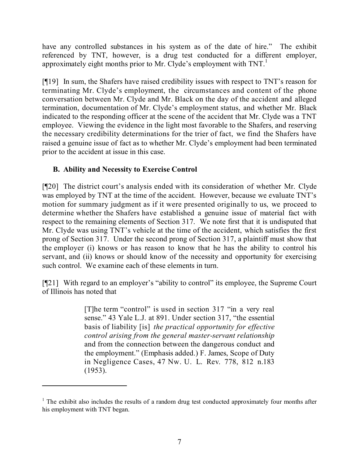have any controlled substances in his system as of the date of hire." The exhibit referenced by TNT, however, is a drug test conducted for a different employer, approximately eight months prior to Mr. Clyde's employment with TNT.<sup>1</sup>

[¶19] In sum, the Shafers have raised credibility issues with respect to TNT's reason for terminating Mr. Clyde's employment, the circumstances and content of the phone conversation between Mr. Clyde and Mr. Black on the day of the accident and alleged termination, documentation of Mr. Clyde's employment status, and whether Mr. Black indicated to the responding officer at the scene of the accident that Mr. Clyde was a TNT employee. Viewing the evidence in the light most favorable to the Shafers, and reserving the necessary credibility determinations for the trier of fact, we find the Shafers have raised a genuine issue of fact as to whether Mr. Clyde's employment had been terminated prior to the accident at issue in this case.

# **B. Ability and Necessity to Exercise Control**

[¶20] The district court's analysis ended with its consideration of whether Mr. Clyde was employed by TNT at the time of the accident. However, because we evaluate TNT's motion for summary judgment as if it were presented originally to us, we proceed to determine whether the Shafers have established a genuine issue of material fact with respect to the remaining elements of Section 317. We note first that it is undisputed that Mr. Clyde was using TNT's vehicle at the time of the accident, which satisfies the first prong of Section 317. Under the second prong of Section 317, a plaintiff must show that the employer (i) knows or has reason to know that he has the ability to control his servant, and (ii) knows or should know of the necessity and opportunity for exercising such control. We examine each of these elements in turn.

[¶21] With regard to an employer's "ability to control" its employee, the Supreme Court of Illinois has noted that

> [T]he term "control" is used in section 317 "in a very real sense." 43 Yale L.J. at 891. Under section 317, "the essential basis of liability [is] *the practical opportunity for effective control arising from the general master-servant relationship* and from the connection between the dangerous conduct and the employment." (Emphasis added.) F. James, Scope of Duty in Negligence Cases, 47 Nw. U. L. Rev. 778, 812 n.183 (1953).

 $1$ . The exhibit also includes the results of a random drug test conducted approximately four months after his employment with TNT began.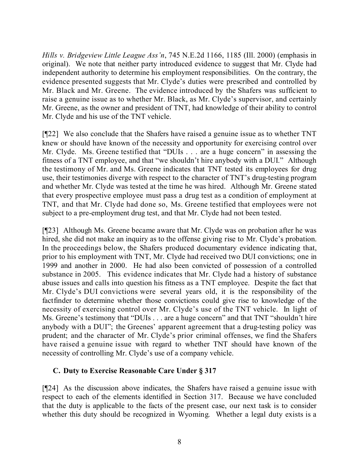*Hills v. Bridgeview Little League Ass'n*, 745 N.E.2d 1166, 1185 (Ill. 2000) (emphasis in original). We note that neither party introduced evidence to suggest that Mr. Clyde had independent authority to determine his employment responsibilities. On the contrary, the evidence presented suggests that Mr. Clyde's duties were prescribed and controlled by Mr. Black and Mr. Greene. The evidence introduced by the Shafers was sufficient to raise a genuine issue as to whether Mr. Black, as Mr. Clyde's supervisor, and certainly Mr. Greene, as the owner and president of TNT, had knowledge of their ability to control Mr. Clyde and his use of the TNT vehicle.

[¶22] We also conclude that the Shafers have raised a genuine issue as to whether TNT knew or should have known of the necessity and opportunity for exercising control over Mr. Clyde. Ms. Greene testified that "DUIs . . . are a huge concern" in assessing the fitness of a TNT employee, and that "we shouldn't hire anybody with a DUI." Although the testimony of Mr. and Ms. Greene indicates that TNT tested its employees for drug use, their testimonies diverge with respect to the character of TNT's drug-testing program and whether Mr. Clyde was tested at the time he was hired. Although Mr. Greene stated that every prospective employee must pass a drug test as a condition of employment at TNT, and that Mr. Clyde had done so, Ms. Greene testified that employees were not subject to a pre-employment drug test, and that Mr. Clyde had not been tested.

[¶23] Although Ms. Greene became aware that Mr. Clyde was on probation after he was hired, she did not make an inquiry as to the offense giving rise to Mr. Clyde's probation. In the proceedings below, the Shafers produced documentary evidence indicating that, prior to his employment with TNT, Mr. Clyde had received two DUI convictions; one in 1999 and another in 2000. He had also been convicted of possession of a controlled substance in 2005. This evidence indicates that Mr. Clyde had a history of substance abuse issues and calls into question his fitness as a TNT employee. Despite the fact that Mr. Clyde's DUI convictions were several years old, it is the responsibility of the factfinder to determine whether those convictions could give rise to knowledge of the necessity of exercising control over Mr. Clyde's use of the TNT vehicle. In light of Ms. Greene's testimony that "DUIs . . . are a huge concern" and that TNT "shouldn't hire anybody with a DUI"; the Greenes' apparent agreement that a drug-testing policy was prudent; and the character of Mr. Clyde's prior criminal offenses, we find the Shafers have raised a genuine issue with regard to whether TNT should have known of the necessity of controlling Mr. Clyde's use of a company vehicle.

### **C. Duty to Exercise Reasonable Care Under § 317**

[¶24] As the discussion above indicates, the Shafers have raised a genuine issue with respect to each of the elements identified in Section 317. Because we have concluded that the duty is applicable to the facts of the present case, our next task is to consider whether this duty should be recognized in Wyoming. Whether a legal duty exists is a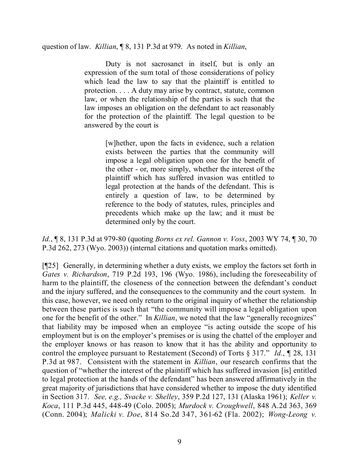question of law. *Killian*, ¶ 8, 131 P.3d at 979. As noted in *Killian*,

Duty is not sacrosanct in itself, but is only an expression of the sum total of those considerations of policy which lead the law to say that the plaintiff is entitled to protection. . . . A duty may arise by contract, statute, common law, or when the relationship of the parties is such that the law imposes an obligation on the defendant to act reasonably for the protection of the plaintiff. The legal question to be answered by the court is

> [w]hether, upon the facts in evidence, such a relation exists between the parties that the community will impose a legal obligation upon one for the benefit of the other - or, more simply, whether the interest of the plaintiff which has suffered invasion was entitled to legal protection at the hands of the defendant. This is entirely a question of law, to be determined by reference to the body of statutes, rules, principles and precedents which make up the law; and it must be determined only by the court.

*Id.*, ¶ 8, 131 P.3d at 979-80 (quoting *Borns ex rel. Gannon v. Voss*, 2003 WY 74, ¶ 30, 70 P.3d 262, 273 (Wyo. 2003)) (internal citations and quotation marks omitted).

[¶25] Generally, in determining whether a duty exists, we employ the factors set forth in *Gates v. Richardson*, 719 P.2d 193, 196 (Wyo. 1986), including the foreseeability of harm to the plaintiff, the closeness of the connection between the defendant's conduct and the injury suffered, and the consequences to the community and the court system. In this case, however, we need only return to the original inquiry of whether the relationship between these parties is such that "the community will impose a legal obligation upon one for the benefit of the other." In *Killian*, we noted that the law "generally recognizes" that liability may be imposed when an employee "is acting outside the scope of his employment but is on the employer's premises or is using the chattel of the employer and the employer knows or has reason to know that it has the ability and opportunity to control the employee pursuant to Restatement (Second) of Torts § 317." *Id.*, ¶ 28, 131 P.3d at 987. Consistent with the statement in *Killian*, our research confirms that the question of "whether the interest of the plaintiff which has suffered invasion [is] entitled to legal protection at the hands of the defendant" has been answered affirmatively in the great majority of jurisdictions that have considered whether to impose the duty identified in Section 317. *See, e.g., Svacke v. Shelley*, 359 P.2d 127, 131 (Alaska 1961); *Keller v. Koca*, 111 P.3d 445, 448-49 (Colo. 2005); *Murdock v. Croughwell*, 848 A.2d 363, 369 (Conn. 2004); *Malicki v. Doe*, 814 So.2d 347, 361-62 (Fla. 2002); *Wong-Leong v.*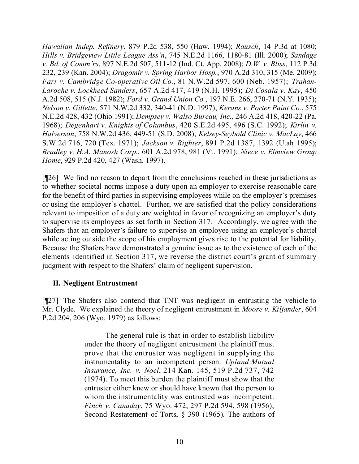*Hawaiian Indep. Refinery*, 879 P.2d 538, 550 (Haw. 1994); *Rausch*, 14 P.3d at 1080; *Hills v. Bridgeview Little League Ass'n*, 745 N.E.2d 1166, 1180-81 (Ill. 2000); *Sandage v. Bd. of Comm'rs*, 897 N.E.2d 507, 511-12 (Ind. Ct. App. 2008); *D.W. v. Bliss*, 112 P.3d 232, 239 (Kan. 2004); *Dragomir v. Spring Harbor Hosp.*, 970 A.2d 310, 315 (Me. 2009); *Farr v. Cambridge Co-operative Oil Co.*, 81 N.W.2d 597, 600 (Neb. 1957); *Trahan-Laroche v. Lockheed Sanders*, 657 A.2d 417, 419 (N.H. 1995); *Di Cosala v. Kay*, 450 A.2d 508, 515 (N.J. 1982); *Ford v. Grand Union Co.*, 197 N.E. 266, 270-71 (N.Y. 1935); *Nelson v. Gillette*, 571 N.W.2d 332, 340-41 (N.D. 1997); *Kerans v. Porter Paint Co.*, 575 N.E.2d 428, 432 (Ohio 1991); *Dempsey v. Walso Bureau, Inc.*, 246 A.2d 418, 420-22 (Pa. 1968); *Degenhart v. Knights of Columbus*, 420 S.E.2d 495, 496 (S.C. 1992); *Kirlin v. Halverson*, 758 N.W.2d 436, 449-51 (S.D. 2008); *Kelsey-Seybold Clinic v. MacLay*, 466 S.W.2d 716, 720 (Tex. 1971); *Jackson v. Righter*, 891 P.2d 1387, 1392 (Utah 1995); *Bradley v. H.A. Manosh Corp.*, 601 A.2d 978, 981 (Vt. 1991); *Niece v. Elmview Group Home*, 929 P.2d 420, 427 (Wash. 1997).

[¶26] We find no reason to depart from the conclusions reached in these jurisdictions as to whether societal norms impose a duty upon an employer to exercise reasonable care for the benefit of third parties in supervising employees while on the employer's premises or using the employer's chattel. Further, we are satisfied that the policy considerations relevant to imposition of a duty are weighted in favor of recognizing an employer's duty to supervise its employees as set forth in Section 317. Accordingly, we agree with the Shafers that an employer's failure to supervise an employee using an employer's chattel while acting outside the scope of his employment gives rise to the potential for liability. Because the Shafers have demonstrated a genuine issue as to the existence of each of the elements identified in Section 317, we reverse the district court's grant of summary judgment with respect to the Shafers' claim of negligent supervision.

### **II. Negligent Entrustment**

[¶27] The Shafers also contend that TNT was negligent in entrusting the vehicle to Mr. Clyde. We explained the theory of negligent entrustment in *Moore v. Kiljander*, 604 P.2d 204, 206 (Wyo. 1979) as follows:

> The general rule is that in order to establish liability under the theory of negligent entrustment the plaintiff must prove that the entruster was negligent in supplying the instrumentality to an incompetent person. *Upland Mutual Insurance, Inc. v. Noel*, 214 Kan. 145, 519 P.2d 737, 742 (1974). To meet this burden the plaintiff must show that the entruster either knew or should have known that the person to whom the instrumentality was entrusted was incompetent. *Finch v. Canaday*, 75 Wyo. 472, 297 P.2d 594, 598 (1956); Second Restatement of Torts, § 390 (1965). The authors of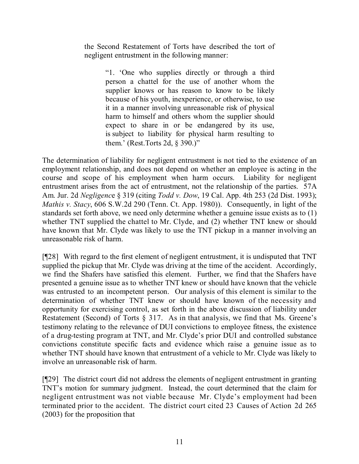the Second Restatement of Torts have described the tort of negligent entrustment in the following manner:

> "1. 'One who supplies directly or through a third person a chattel for the use of another whom the supplier knows or has reason to know to be likely because of his youth, inexperience, or otherwise, to use it in a manner involving unreasonable risk of physical harm to himself and others whom the supplier should expect to share in or be endangered by its use, is subject to liability for physical harm resulting to them.' (Rest.Torts 2d, § 390.)"

The determination of liability for negligent entrustment is not tied to the existence of an employment relationship, and does not depend on whether an employee is acting in the course and scope of his employment when harm occurs. Liability for negligent entrustment arises from the act of entrustment, not the relationship of the parties. 57A Am. Jur. 2d *Negligenc*e § 319 (citing *Todd v. Dow*, 19 Cal. App. 4th 253 (2d Dist. 1993); *Mathis v. Stacy*, 606 S.W.2d 290 (Tenn. Ct. App. 1980)). Consequently, in light of the standards set forth above, we need only determine whether a genuine issue exists as to (1) whether TNT supplied the chattel to Mr. Clyde, and (2) whether TNT knew or should have known that Mr. Clyde was likely to use the TNT pickup in a manner involving an unreasonable risk of harm.

[¶28] With regard to the first element of negligent entrustment, it is undisputed that TNT supplied the pickup that Mr. Clyde was driving at the time of the accident. Accordingly, we find the Shafers have satisfied this element. Further, we find that the Shafers have presented a genuine issue as to whether TNT knew or should have known that the vehicle was entrusted to an incompetent person. Our analysis of this element is similar to the determination of whether TNT knew or should have known of the necessity and opportunity for exercising control, as set forth in the above discussion of liability under Restatement (Second) of Torts § 317. As in that analysis, we find that Ms. Greene's testimony relating to the relevance of DUI convictions to employee fitness, the existence of a drug-testing program at TNT, and Mr. Clyde's prior DUI and controlled substance convictions constitute specific facts and evidence which raise a genuine issue as to whether TNT should have known that entrustment of a vehicle to Mr. Clyde was likely to involve an unreasonable risk of harm.

[¶29] The district court did not address the elements of negligent entrustment in granting TNT's motion for summary judgment. Instead, the court determined that the claim for negligent entrustment was not viable because Mr. Clyde's employment had been terminated prior to the accident. The district court cited 23 Causes of Action 2d 265 (2003) for the proposition that